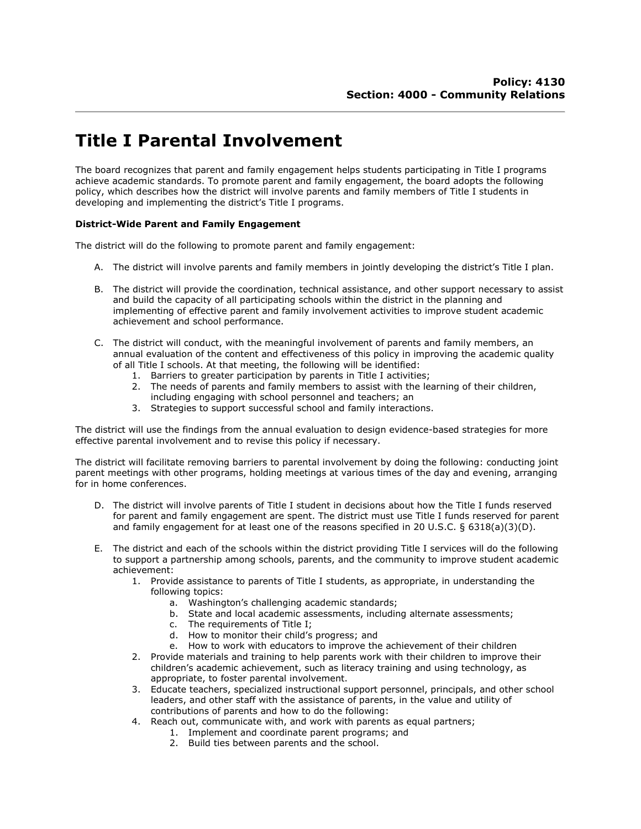## **Title I Parental Involvement**

The board recognizes that parent and family engagement helps students participating in Title I programs achieve academic standards. To promote parent and family engagement, the board adopts the following policy, which describes how the district will involve parents and family members of Title I students in developing and implementing the district's Title I programs.

## **District-Wide Parent and Family Engagement**

The district will do the following to promote parent and family engagement:

- A. The district will involve parents and family members in jointly developing the district's Title I plan.
- B. The district will provide the coordination, technical assistance, and other support necessary to assist and build the capacity of all participating schools within the district in the planning and implementing of effective parent and family involvement activities to improve student academic achievement and school performance.
- C. The district will conduct, with the meaningful involvement of parents and family members, an annual evaluation of the content and effectiveness of this policy in improving the academic quality of all Title I schools. At that meeting, the following will be identified:
	-
	- 1. Barriers to greater participation by parents in Title I activities;<br>2. The needs of parents and family members to assist with the le The needs of parents and family members to assist with the learning of their children,
	- including engaging with school personnel and teachers; an
	- 3. Strategies to support successful school and family interactions.

The district will use the findings from the annual evaluation to design evidence-based strategies for more effective parental involvement and to revise this policy if necessary.

The district will facilitate removing barriers to parental involvement by doing the following: conducting joint parent meetings with other programs, holding meetings at various times of the day and evening, arranging for in home conferences.

- D. The district will involve parents of Title I student in decisions about how the Title I funds reserved for parent and family engagement are spent. The district must use Title I funds reserved for parent and family engagement for at least one of the reasons specified in 20 U.S.C. § 6318(a)(3)(D).
- E. The district and each of the schools within the district providing Title I services will do the following to support a partnership among schools, parents, and the community to improve student academic achievement:
	- 1. Provide assistance to parents of Title I students, as appropriate, in understanding the following topics:
		- a. Washington's challenging academic standards;
		- b. State and local academic assessments, including alternate assessments; c. The requirements of Title I;
		- The requirements of Title I;
		- d. How to monitor their child's progress; and
		- e. How to work with educators to improve the achievement of their children
	- 2. Provide materials and training to help parents work with their children to improve their children's academic achievement, such as literacy training and using technology, as appropriate, to foster parental involvement.
	- 3. Educate teachers, specialized instructional support personnel, principals, and other school leaders, and other staff with the assistance of parents, in the value and utility of contributions of parents and how to do the following:
	- 4. Reach out, communicate with, and work with parents as equal partners;
		- 1. Implement and coordinate parent programs; and
		- 2. Build ties between parents and the school.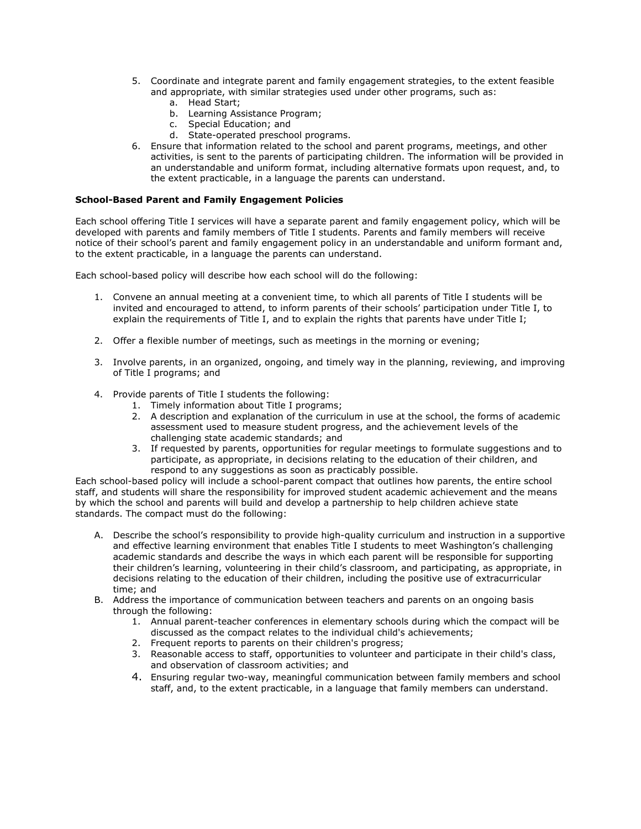- 5. Coordinate and integrate parent and family engagement strategies, to the extent feasible and appropriate, with similar strategies used under other programs, such as:
	- a. Head Start;
	- b. Learning Assistance Program;
	- c. Special Education; and
	- d. State-operated preschool programs.
- 6. Ensure that information related to the school and parent programs, meetings, and other activities, is sent to the parents of participating children. The information will be provided in an understandable and uniform format, including alternative formats upon request, and, to the extent practicable, in a language the parents can understand.

## **School-Based Parent and Family Engagement Policies**

Each school offering Title I services will have a separate parent and family engagement policy, which will be developed with parents and family members of Title I students. Parents and family members will receive notice of their school's parent and family engagement policy in an understandable and uniform formant and, to the extent practicable, in a language the parents can understand.

Each school-based policy will describe how each school will do the following:

- 1. Convene an annual meeting at a convenient time, to which all parents of Title I students will be invited and encouraged to attend, to inform parents of their schools' participation under Title I, to explain the requirements of Title I, and to explain the rights that parents have under Title I;
- 2. Offer a flexible number of meetings, such as meetings in the morning or evening;
- 3. Involve parents, in an organized, ongoing, and timely way in the planning, reviewing, and improving of Title I programs; and
- 4. Provide parents of Title I students the following:
	- 1. Timely information about Title I programs;
	- 2. A description and explanation of the curriculum in use at the school, the forms of academic assessment used to measure student progress, and the achievement levels of the challenging state academic standards; and
	- 3. If requested by parents, opportunities for regular meetings to formulate suggestions and to participate, as appropriate, in decisions relating to the education of their children, and respond to any suggestions as soon as practicably possible.

Each school-based policy will include a school-parent compact that outlines how parents, the entire school staff, and students will share the responsibility for improved student academic achievement and the means by which the school and parents will build and develop a partnership to help children achieve state standards. The compact must do the following:

- A. Describe the school's responsibility to provide high-quality curriculum and instruction in a supportive and effective learning environment that enables Title I students to meet Washington's challenging academic standards and describe the ways in which each parent will be responsible for supporting their children's learning, volunteering in their child's classroom, and participating, as appropriate, in decisions relating to the education of their children, including the positive use of extracurricular time; and
- B. Address the importance of communication between teachers and parents on an ongoing basis through the following:
	- 1. Annual parent-teacher conferences in elementary schools during which the compact will be discussed as the compact relates to the individual child's achievements;
	- 2. Frequent reports to parents on their children's progress;
	- 3. Reasonable access to staff, opportunities to volunteer and participate in their child's class, and observation of classroom activities; and
	- 4. Ensuring regular two-way, meaningful communication between family members and school staff, and, to the extent practicable, in a language that family members can understand.